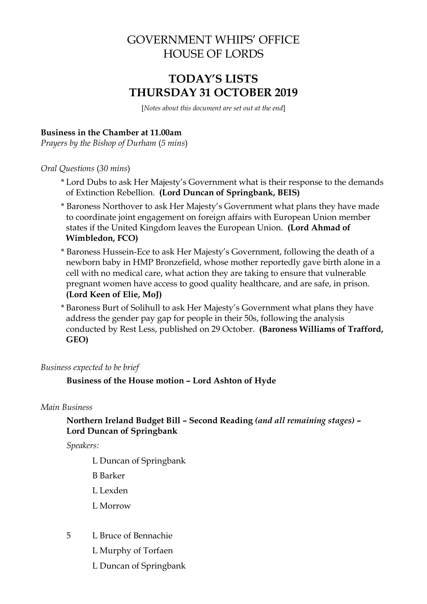# GOVERNMENT WHIPS' OFFICE HOUSE OF LORDS

# **TODAY'S LISTS THURSDAY 31 OCTOBER 2019**

[*Notes about this document are set out at the end*]

## **Business in the Chamber at 11.00am**

*Prayers by the Bishop of Durham* (*5 mins*)

*Oral Questions* (*30 mins*)

- \* Lord Dubs to ask Her Majesty's Government what is their response to the demands of Extinction Rebellion. **(Lord Duncan of Springbank, BEIS)**
- \* Baroness Northover to ask Her Majesty's Government what plans they have made to coordinate joint engagement on foreign affairs with European Union member states if the United Kingdom leaves the European Union. **(Lord Ahmad of Wimbledon, FCO)**
- \* Baroness Hussein-Ece to ask Her Majesty's Government, following the death of a newborn baby in HMP Bronzefield, whose mother reportedly gave birth alone in a cell with no medical care, what action they are taking to ensure that vulnerable pregnant women have access to good quality healthcare, and are safe, in prison. **(Lord Keen of Elie, MoJ)**
- \* Baroness Burt of Solihull to ask Her Majesty's Government what plans they have address the gender pay gap for people in their 50s, following the analysis conducted by Rest Less, published on 29 October. **(Baroness Williams of Trafford, GEO)**

*Business expected to be brief*

**Business of the House motion – Lord Ashton of Hyde**

### *Main Business*

# **Northern Ireland Budget Bill – Second Reading** *(and all remaining stages)* **– Lord Duncan of Springbank**

*Speakers:*

L Duncan of Springbank

- B Barker
- L Lexden
- L Morrow
- 5 L Bruce of Bennachie
	- L Murphy of Torfaen
	- L Duncan of Springbank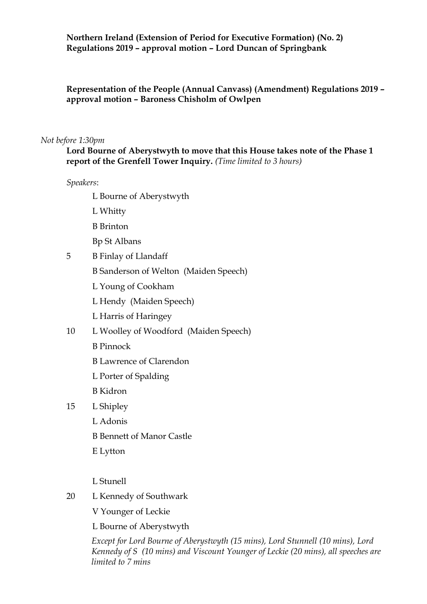### **Northern Ireland (Extension of Period for Executive Formation) (No. 2) Regulations 2019 – approval motion – Lord Duncan of Springbank**

**Representation of the People (Annual Canvass) (Amendment) Regulations 2019 – approval motion – Baroness Chisholm of Owlpen**

#### *Not before 1:30pm*

**Lord Bourne of Aberystwyth to move that this House takes note of the Phase 1 report of the Grenfell Tower Inquiry.** *(Time limited to 3 hours)*

*Speakers*:

L Bourne of Aberystwyth

- L Whitty
- B Brinton
- Bp St Albans
- 5 B Finlay of Llandaff
	- B Sanderson of Welton (Maiden Speech)
	- L Young of Cookham
	- L Hendy (Maiden Speech)
	- L Harris of Haringey
- 10 L Woolley of Woodford (Maiden Speech)
	- B Pinnock
	- B Lawrence of Clarendon
	- L Porter of Spalding
	- B Kidron
- 15 L Shipley
	- L Adonis
	- B Bennett of Manor Castle
	- E Lytton
	- L Stunell
- 20 L Kennedy of Southwark
	- V Younger of Leckie
	- L Bourne of Aberystwyth

*Except for Lord Bourne of Aberystwyth (15 mins), Lord Stunnell (10 mins), Lord Kennedy of S (10 mins) and Viscount Younger of Leckie (20 mins), all speeches are limited to 7 mins*